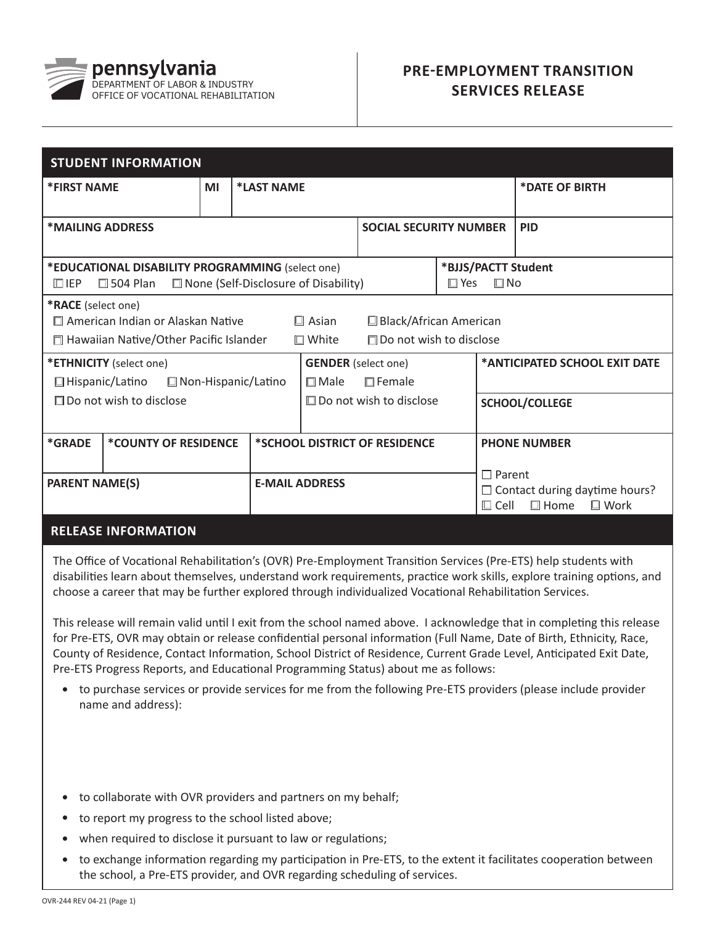

## **PRE-EMPLOYMENT TRANSITION SERVICES RELEASE**

| <b>STUDENT INFORMATION</b>                                                                                                                                                                           |                                                                     |                                        |            |                                |                                                   |  |                              |                                                                    |  |  |
|------------------------------------------------------------------------------------------------------------------------------------------------------------------------------------------------------|---------------------------------------------------------------------|----------------------------------------|------------|--------------------------------|---------------------------------------------------|--|------------------------------|--------------------------------------------------------------------|--|--|
| <b>*FIRST NAME</b>                                                                                                                                                                                   |                                                                     | MI                                     | *LAST NAME |                                |                                                   |  |                              | *DATE OF BIRTH                                                     |  |  |
| *MAILING ADDRESS                                                                                                                                                                                     |                                                                     |                                        |            |                                | <b>SOCIAL SECURITY NUMBER</b>                     |  |                              | <b>PID</b>                                                         |  |  |
| $\Box$ IEP                                                                                                                                                                                           | *EDUCATIONAL DISABILITY PROGRAMMING (select one)<br>$\Box$ 504 Plan | □ None (Self-Disclosure of Disability) |            |                                | *BJJS/PACTT Student<br>$\square$ Yes<br>$\Box$ No |  |                              |                                                                    |  |  |
| *RACE (select one)<br>□ American Indian or Alaskan Native<br>$\square$ Asian<br>□ Black/African American<br>Hawaiian Native/Other Pacific Islander<br>$\Box$ White<br>$\Box$ Do not wish to disclose |                                                                     |                                        |            |                                |                                                   |  |                              |                                                                    |  |  |
| * <b>ETHNICITY</b> (select one)<br>$\Box$ Hispanic/Latino<br>$\Box$ Non-Hispanic/Latino                                                                                                              |                                                                     |                                        |            | $\Box$ Male                    | <b>GENDER</b> (select one)<br>$\Box$ Female       |  |                              | *ANTICIPATED SCHOOL EXIT DATE                                      |  |  |
| $\Box$ Do not wish to disclose                                                                                                                                                                       |                                                                     |                                        |            | $\Box$ Do not wish to disclose |                                                   |  | <b>SCHOOL/COLLEGE</b>        |                                                                    |  |  |
| *GRADE<br>*COUNTY OF RESIDENCE                                                                                                                                                                       |                                                                     |                                        |            | *SCHOOL DISTRICT OF RESIDENCE  |                                                   |  | <b>PHONE NUMBER</b>          |                                                                    |  |  |
| <b>PARENT NAME(S)</b>                                                                                                                                                                                |                                                                     |                                        |            | <b>E-MAIL ADDRESS</b>          |                                                   |  | $\Box$ Parent<br>$\Box$ Cell | $\Box$ Contact during daytime hours?<br>$\Box$ Work<br>$\Box$ Home |  |  |
|                                                                                                                                                                                                      |                                                                     |                                        |            |                                |                                                   |  |                              |                                                                    |  |  |

## **RELEASE INFORMATION**

The Office of Vocational Rehabilitation's (OVR) Pre-Employment Transition Services (Pre-ETS) help students with disabilities learn about themselves, understand work requirements, practice work skills, explore training options, and choose a career that may be further explored through individualized Vocational Rehabilitation Services.

This release will remain valid until I exit from the school named above. I acknowledge that in completing this release for Pre-ETS, OVR may obtain or release confidential personal information (Full Name, Date of Birth, Ethnicity, Race, County of Residence, Contact Information, School District of Residence, Current Grade Level, Anticipated Exit Date, Pre-ETS Progress Reports, and Educational Programming Status) about me as follows:

- to purchase services or provide services for me from the following Pre-ETS providers (please include provider name and address):
- to collaborate with OVR providers and partners on my behalf; •
- to report my progress to the school listed above; •
- when required to disclose it pursuant to law or regulations;
- to exchange information regarding my participation in Pre-ETS, to the extent it facilitates cooperation between the school, a Pre-ETS provider, and OVR regarding scheduling of services. •